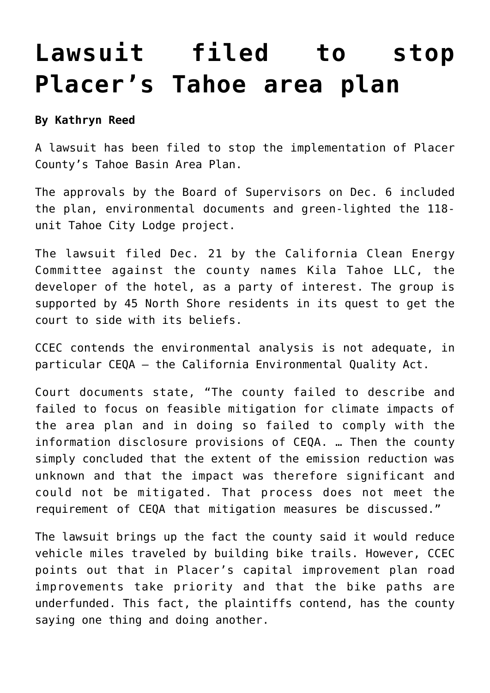## **[Lawsuit filed to stop](https://www.laketahoenews.net/2017/01/lawsuit-filed-stop-placers-tahoe-area-plan/) [Placer's Tahoe area plan](https://www.laketahoenews.net/2017/01/lawsuit-filed-stop-placers-tahoe-area-plan/)**

## **By Kathryn Reed**

A lawsuit has been filed to stop the implementation of Placer County's Tahoe Basin Area Plan.

The approvals by the Board of Supervisors on Dec. 6 included the plan, environmental documents and green-lighted the 118 unit Tahoe City Lodge project.

The lawsuit filed Dec. 21 by the California Clean Energy Committee against the county names Kila Tahoe LLC, the developer of the hotel, as a party of interest. The group is supported by 45 North Shore residents in its quest to get the court to side with its beliefs.

CCEC contends the environmental analysis is not adequate, in particular CEQA – the California Environmental Quality Act.

Court documents state, "The county failed to describe and failed to focus on feasible mitigation for climate impacts of the area plan and in doing so failed to comply with the information disclosure provisions of CEQA. … Then the county simply concluded that the extent of the emission reduction was unknown and that the impact was therefore significant and could not be mitigated. That process does not meet the requirement of CEQA that mitigation measures be discussed."

The lawsuit brings up the fact the county said it would reduce vehicle miles traveled by building bike trails. However, CCEC points out that in Placer's capital improvement plan road improvements take priority and that the bike paths are underfunded. This fact, the plaintiffs contend, has the county saying one thing and doing another.